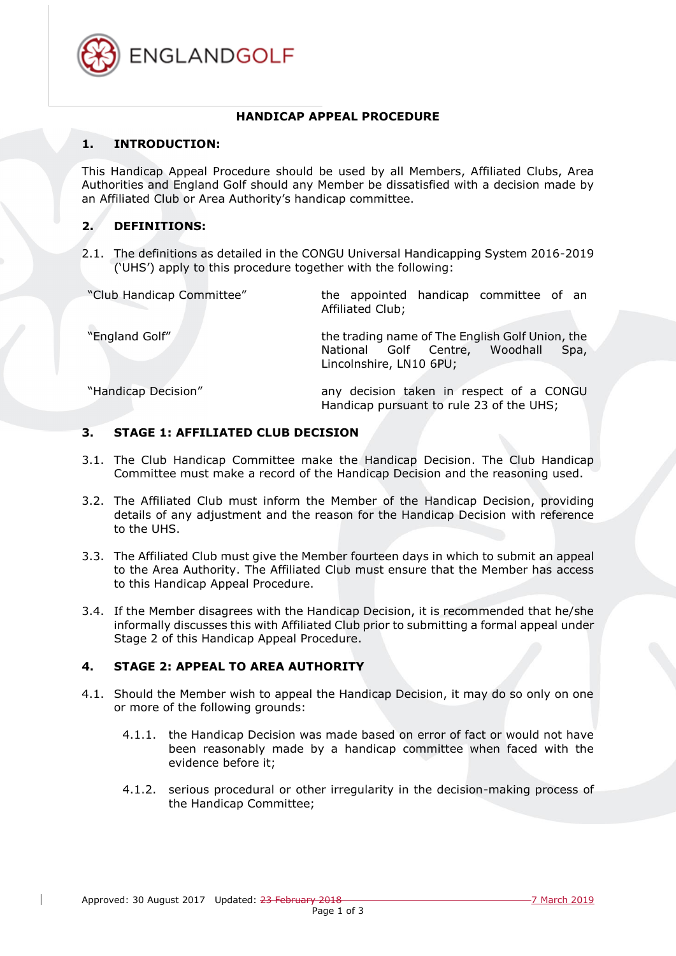

#### **HANDICAP APPEAL PROCEDURE**

### **1. INTRODUCTION:**

This Handicap Appeal Procedure should be used by all Members, Affiliated Clubs, Area Authorities and England Golf should any Member be dissatisfied with a decision made by an Affiliated Club or Area Authority's handicap committee.

# **2. DEFINITIONS:**

2.1. The definitions as detailed in the CONGU Universal Handicapping System 2016-2019 ('UHS') apply to this procedure together with the following:

"Club Handicap Committee" the appointed handicap committee of an Affiliated Club;

"England Golf" the trading name of The English Golf Union, the National Golf Centre, Woodhall Spa, Lincolnshire, LN10 6PU;

"Handicap Decision" any decision taken in respect of a CONGU Handicap pursuant to rule 23 of the UHS;

### <span id="page-0-1"></span>**3. STAGE 1: AFFILIATED CLUB DECISION**

- 3.1. The Club Handicap Committee make the Handicap Decision. The Club Handicap Committee must make a record of the Handicap Decision and the reasoning used.
- 3.2. The Affiliated Club must inform the Member of the Handicap Decision, providing details of any adjustment and the reason for the Handicap Decision with reference to the UHS.
- 3.3. The Affiliated Club must give the Member fourteen days in which to submit an appeal to the Area Authority. The Affiliated Club must ensure that the Member has access to this Handicap Appeal Procedure.
- 3.4. If the Member disagrees with the Handicap Decision, it is recommended that he/she informally discusses this with Affiliated Club prior to submitting a formal appeal under Stage 2 of this Handicap Appeal Procedure.

## **4. STAGE 2: APPEAL TO AREA AUTHORITY**

- <span id="page-0-0"></span>4.1. Should the Member wish to appeal the Handicap Decision, it may do so only on one or more of the following grounds:
	- 4.1.1. the Handicap Decision was made based on error of fact or would not have been reasonably made by a handicap committee when faced with the evidence before it;
	- 4.1.2. serious procedural or other irregularity in the decision-making process of the Handicap Committee;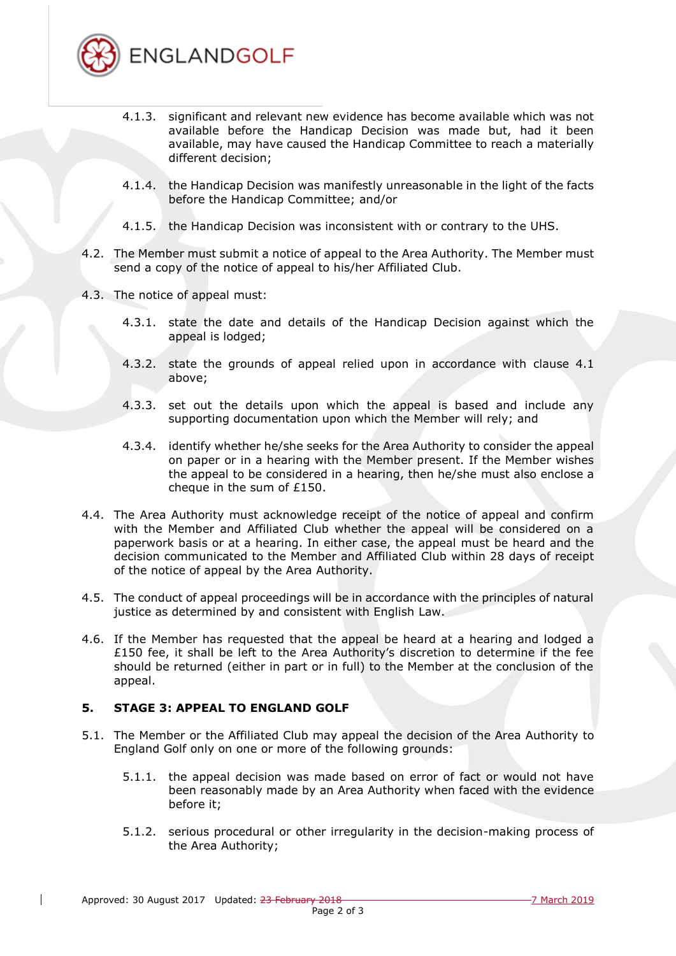

- 4.1.3. significant and relevant new evidence has become available which was not available before the Handicap Decision was made but, had it been available, may have caused the Handicap Committee to reach a materially different decision;
- 4.1.4. the Handicap Decision was manifestly unreasonable in the light of the facts before the Handicap Committee; and/or
- 4.1.5. the Handicap Decision was inconsistent with or contrary to the UHS.
- 4.2. The Member must submit a notice of appeal to the Area Authority. The Member must send a copy of the notice of appeal to his/her Affiliated Club.
- 4.3. The notice of appeal must:
	- 4.3.1. state the date and details of the Handicap Decision against which the appeal is lodged;
	- 4.3.2. state the grounds of appeal relied upon in accordance with clause [4.1](#page-0-0) above;
	- 4.3.3. set out the details upon which the appeal is based and include any supporting documentation upon which the Member will rely; and
	- 4.3.4. identify whether he/she seeks for the Area Authority to consider the appeal on paper or in a hearing with the Member present. If the Member wishes the appeal to be considered in a hearing, then he/she must also enclose a cheque in the sum of £150.
- 4.4. The Area Authority must acknowledge receipt of the notice of appeal and confirm with the Member and Affiliated Club whether the appeal will be considered on a paperwork basis or at a hearing. In either case, the appeal must be heard and the decision communicated to the Member and Affiliated Club within 28 days of receipt of the notice of appeal by the Area Authority.
- 4.5. The conduct of appeal proceedings will be in accordance with the principles of natural justice as determined by and consistent with English Law.
- 4.6. If the Member has requested that the appeal be heard at a hearing and lodged a  $£150$  fee, it shall be left to the Area Authority's discretion to determine if the fee should be returned (either in part or in full) to the Member at the conclusion of the appeal.

## <span id="page-1-2"></span><span id="page-1-1"></span>**5. STAGE 3: APPEAL TO ENGLAND GOLF**

- <span id="page-1-0"></span>5.1. The Member or the Affiliated Club may appeal the decision of the Area Authority to England Golf only on one or more of the following grounds:
	- 5.1.1. the appeal decision was made based on error of fact or would not have been reasonably made by an Area Authority when faced with the evidence before it;
	- 5.1.2. serious procedural or other irregularity in the decision-making process of the Area Authority;